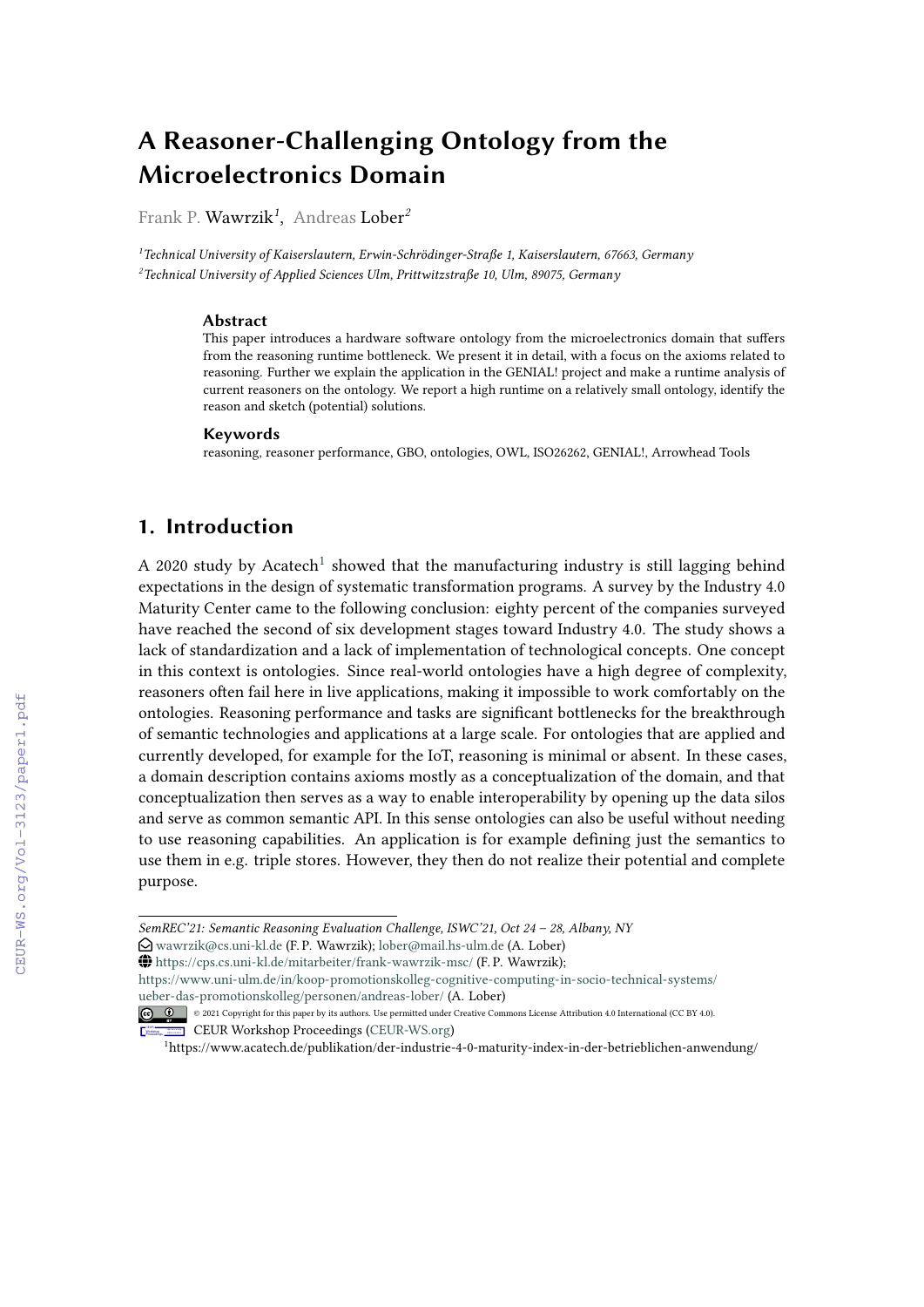# **A Reasoner-Challenging Ontology from the Microelectronics Domain**

Frank P. Wawrzik*<sup>1</sup>* , Andreas Lober*<sup>2</sup>*

*<sup>1</sup>Technical University of Kaiserslautern, Erwin-Schrödinger-Straße 1, Kaiserslautern, 67663, Germany <sup>2</sup>Technical University of Applied Sciences Ulm, Prittwitzstraße 10, Ulm, 89075, Germany*

#### **Abstract**

This paper introduces a hardware software ontology from the microelectronics domain that suffers from the reasoning runtime bottleneck. We present it in detail, with a focus on the axioms related to reasoning. Further we explain the application in the GENIAL! project and make a runtime analysis of current reasoners on the ontology. We report a high runtime on a relatively small ontology, identify the reason and sketch (potential) solutions.

#### **Keywords**

reasoning, reasoner performance, GBO, ontologies, OWL, ISO26262, GENIAL!, Arrowhead Tools

## **1. Introduction**

A 2020 study by Acatech<sup>[1](#page-0-0)</sup> showed that the manufacturing industry is still lagging behind expectations in the design of systematic transformation programs. A survey by the Industry 4.0 Maturity Center came to the following conclusion: eighty percent of the companies surveyed have reached the second of six development stages toward Industry 4.0. The study shows a lack of standardization and a lack of implementation of technological concepts. One concept in this context is ontologies. Since real-world ontologies have a high degree of complexity, reasoners often fail here in live applications, making it impossible to work comfortably on the ontologies. Reasoning performance and tasks are significant bottlenecks for the breakthrough of semantic technologies and applications at a large scale. For ontologies that are applied and currently developed, for example for the IoT, reasoning is minimal or absent. In these cases, a domain description contains axioms mostly as a conceptualization of the domain, and that conceptualization then serves as a way to enable interoperability by opening up the data silos and serve as common semantic API. In this sense ontologies can also be useful without needing to use reasoning capabilities. An application is for example defining just the semantics to use them in e.g. triple stores. However, they then do not realize their potential and complete purpose.

 $\bigoplus$  <https://cps.cs.uni-kl.de/mitarbeiter/frank-wawrzik-msc/> (F.P. Wawrzik);

[https://www.uni-ulm.de/in/koop-promotionskolleg-cognitive-computing-in-socio-technical-systems/](https://www.uni-ulm.de/in/koop-promotionskolleg-cognitive-computing-in-socio-technical-systems/ueber-das-promotionskolleg/personen/andreas-lober/) [ueber-das-promotionskolleg/personen/andreas-lober/](https://www.uni-ulm.de/in/koop-promotionskolleg-cognitive-computing-in-socio-technical-systems/ueber-das-promotionskolleg/personen/andreas-lober/) (A. Lober)

*SemREC'21: Semantic Reasoning Evaluation Challenge, ISWC'21, Oct 24 – 28, Albany, NY*

 $\bigcirc$  [wawrzik@cs.uni-kl.de](mailto:wawrzik@cs.uni-kl.de) (F. P. Wawrzik); [lober@mail.hs-ulm.de](mailto:lober@mail.hs-ulm.de) (A. Lober)

<sup>© 2021</sup> Copyright for this paper by its authors. Use permitted under Creative Commons License Attribution 4.0 International (CC BY 4.0). CEUR Workshop [Proceedings](http://ceur-ws.org) [\(CEUR-WS.org\)](http://ceur-ws.org)

<span id="page-0-0"></span><sup>1</sup>https://www.acatech.de/publikation/der-industrie-4-0-maturity-index-in-der-betrieblichen-anwendung/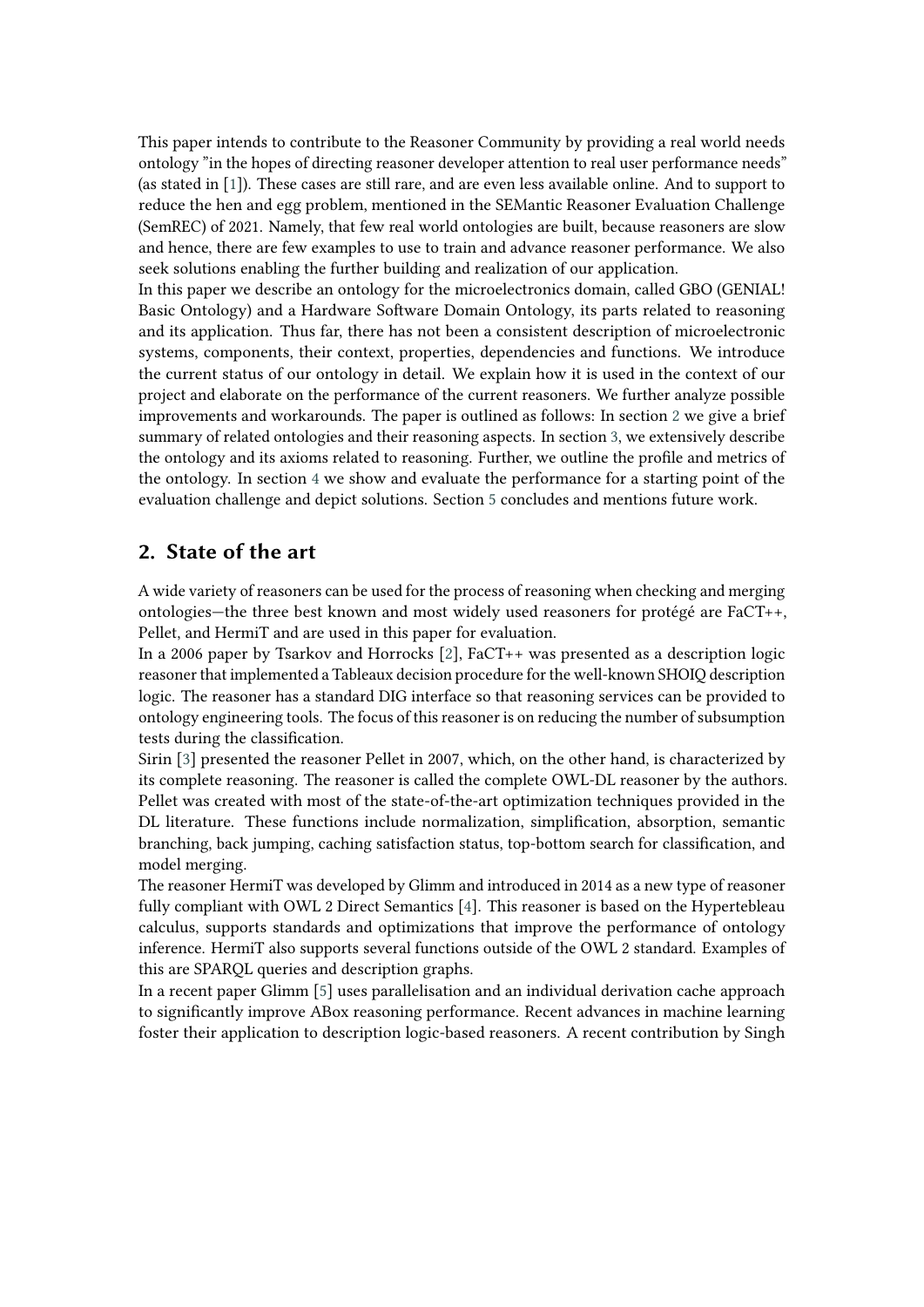This paper intends to contribute to the Reasoner Community by providing a real world needs ontology "in the hopes of directing reasoner developer attention to real user performance needs" (as stated in [\[1\]](#page-10-0)). These cases are still rare, and are even less available online. And to support to reduce the hen and egg problem, mentioned in the SEMantic Reasoner Evaluation Challenge (SemREC) of 2021. Namely, that few real world ontologies are built, because reasoners are slow and hence, there are few examples to use to train and advance reasoner performance. We also seek solutions enabling the further building and realization of our application.

In this paper we describe an ontology for the microelectronics domain, called GBO (GENIAL! Basic Ontology) and a Hardware Software Domain Ontology, its parts related to reasoning and its application. Thus far, there has not been a consistent description of microelectronic systems, components, their context, properties, dependencies and functions. We introduce the current status of our ontology in detail. We explain how it is used in the context of our project and elaborate on the performance of the current reasoners. We further analyze possible improvements and workarounds. The paper is outlined as follows: In section [2](#page-1-0) we give a brief summary of related ontologies and their reasoning aspects. In section [3,](#page-2-0) we extensively describe the ontology and its axioms related to reasoning. Further, we outline the profile and metrics of the ontology. In section [4](#page-8-0) we show and evaluate the performance for a starting point of the evaluation challenge and depict solutions. Section [5](#page-10-1) concludes and mentions future work.

## <span id="page-1-0"></span>**2. State of the art**

A wide variety of reasoners can be used for the process of reasoning when checking and merging ontologies—the three best known and most widely used reasoners for protégé are FaCT++, Pellet, and HermiT and are used in this paper for evaluation.

In a 2006 paper by Tsarkov and Horrocks [\[2\]](#page-10-2), FaCT++ was presented as a description logic reasoner that implemented a Tableaux decision procedure for the well-known SHOIQ description logic. The reasoner has a standard DIG interface so that reasoning services can be provided to ontology engineering tools. The focus of this reasoner is on reducing the number of subsumption tests during the classification.

Sirin [\[3\]](#page-11-0) presented the reasoner Pellet in 2007, which, on the other hand, is characterized by its complete reasoning. The reasoner is called the complete OWL-DL reasoner by the authors. Pellet was created with most of the state-of-the-art optimization techniques provided in the DL literature. These functions include normalization, simplification, absorption, semantic branching, back jumping, caching satisfaction status, top-bottom search for classification, and model merging.

The reasoner HermiT was developed by Glimm and introduced in 2014 as a new type of reasoner fully compliant with OWL 2 Direct Semantics [\[4\]](#page-11-1). This reasoner is based on the Hypertebleau calculus, supports standards and optimizations that improve the performance of ontology inference. HermiT also supports several functions outside of the OWL 2 standard. Examples of this are SPARQL queries and description graphs.

In a recent paper Glimm [\[5\]](#page-11-2) uses parallelisation and an individual derivation cache approach to significantly improve ABox reasoning performance. Recent advances in machine learning foster their application to description logic-based reasoners. A recent contribution by Singh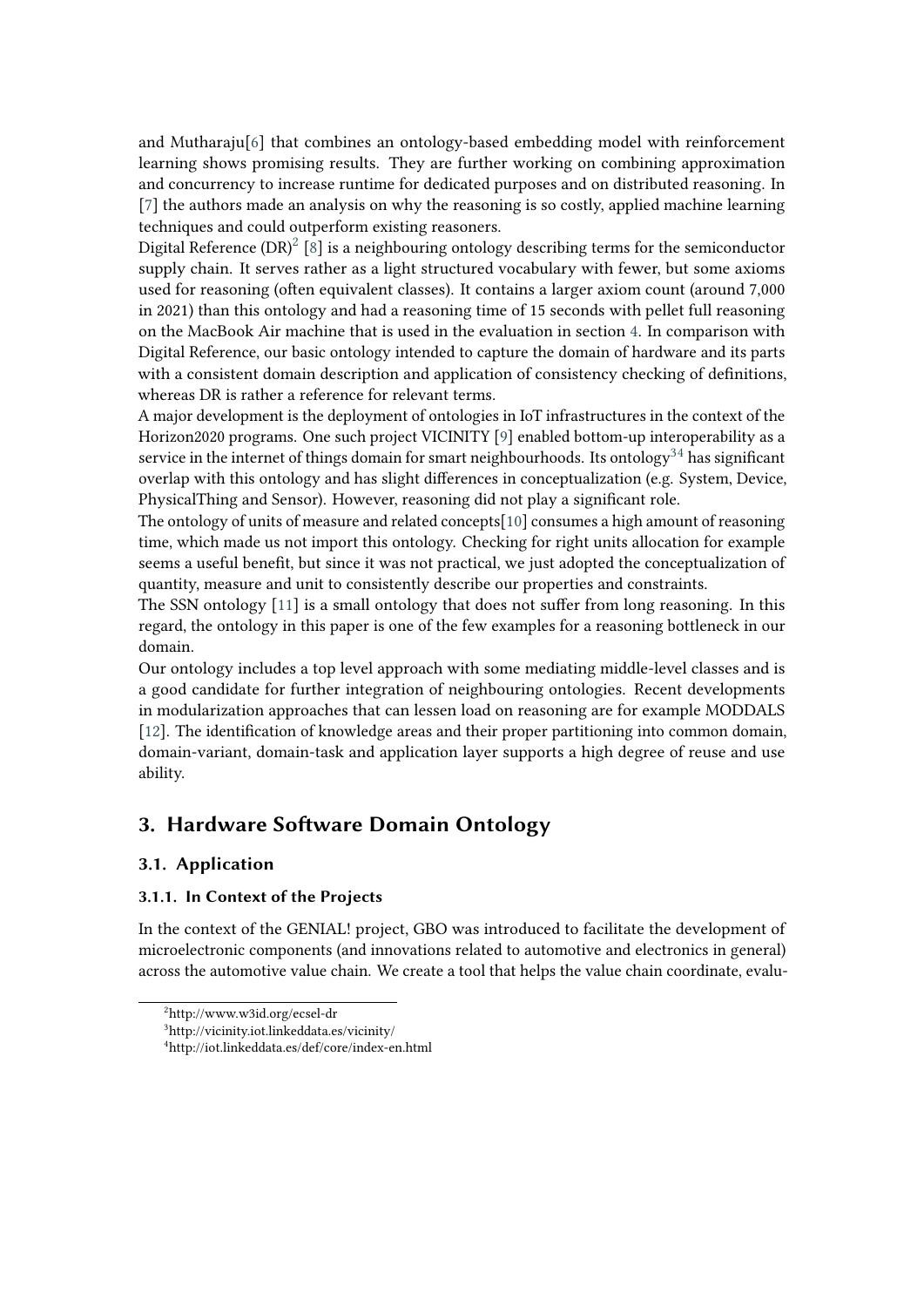and Mutharaju[\[6\]](#page-11-3) that combines an ontology-based embedding model with reinforcement learning shows promising results. They are further working on combining approximation and concurrency to increase runtime for dedicated purposes and on distributed reasoning. In [\[7\]](#page-11-4) the authors made an analysis on why the reasoning is so costly, applied machine learning techniques and could outperform existing reasoners.

Digital Reference (DR) $^2$  $^2$  [\[8\]](#page-11-5) is a neighbouring ontology describing terms for the semiconductor supply chain. It serves rather as a light structured vocabulary with fewer, but some axioms used for reasoning (often equivalent classes). It contains a larger axiom count (around 7,000 in 2021) than this ontology and had a reasoning time of 15 seconds with pellet full reasoning on the MacBook Air machine that is used in the evaluation in section [4.](#page-8-0) In comparison with Digital Reference, our basic ontology intended to capture the domain of hardware and its parts with a consistent domain description and application of consistency checking of definitions, whereas DR is rather a reference for relevant terms.

A major development is the deployment of ontologies in IoT infrastructures in the context of the Horizon2020 programs. One such project VICINITY [\[9\]](#page-11-6) enabled bottom-up interoperability as a service in the internet of things domain for smart neighbourhoods. Its ontology<sup>[3](#page-2-2)[4](#page-2-3)</sup> has significant overlap with this ontology and has slight differences in conceptualization (e.g. System, Device, PhysicalThing and Sensor). However, reasoning did not play a significant role.

The ontology of units of measure and related concepts[\[10\]](#page-11-7) consumes a high amount of reasoning time, which made us not import this ontology. Checking for right units allocation for example seems a useful benefit, but since it was not practical, we just adopted the conceptualization of quantity, measure and unit to consistently describe our properties and constraints.

The SSN ontology [\[11\]](#page-11-8) is a small ontology that does not suffer from long reasoning. In this regard, the ontology in this paper is one of the few examples for a reasoning bottleneck in our domain.

Our ontology includes a top level approach with some mediating middle-level classes and is a good candidate for further integration of neighbouring ontologies. Recent developments in modularization approaches that can lessen load on reasoning are for example MODDALS [\[12\]](#page-11-9). The identification of knowledge areas and their proper partitioning into common domain, domain-variant, domain-task and application layer supports a high degree of reuse and use ability.

## <span id="page-2-0"></span>**3. Hardware Software Domain Ontology**

## **3.1. Application**

### **3.1.1. In Context of the Projects**

In the context of the GENIAL! project, GBO was introduced to facilitate the development of microelectronic components (and innovations related to automotive and electronics in general) across the automotive value chain. We create a tool that helps the value chain coordinate, evalu-

<span id="page-2-1"></span><sup>2</sup>http://www.w3id.org/ecsel-dr

<span id="page-2-2"></span><sup>3</sup>http://vicinity.iot.linkeddata.es/vicinity/

<span id="page-2-3"></span><sup>4</sup>http://iot.linkeddata.es/def/core/index-en.html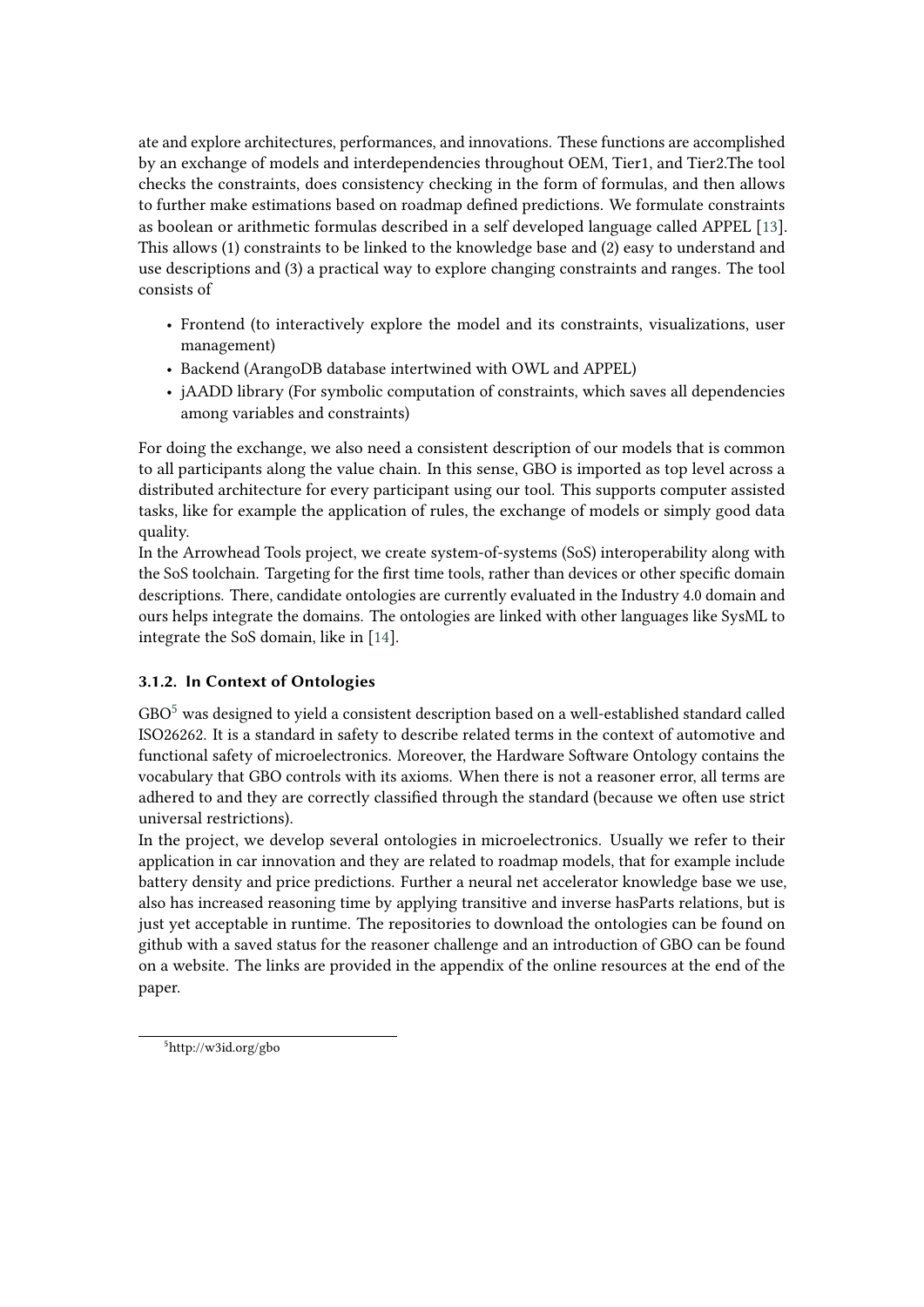ate and explore architectures, performances, and innovations. These functions are accomplished by an exchange of models and interdependencies throughout OEM, Tier1, and Tier2.The tool checks the constraints, does consistency checking in the form of formulas, and then allows to further make estimations based on roadmap defined predictions. We formulate constraints as boolean or arithmetic formulas described in a self developed language called APPEL [\[13\]](#page-11-10). This allows (1) constraints to be linked to the knowledge base and (2) easy to understand and use descriptions and (3) a practical way to explore changing constraints and ranges. The tool consists of

- Frontend (to interactively explore the model and its constraints, visualizations, user management)
- Backend (ArangoDB database intertwined with OWL and APPEL)
- jAADD library (For symbolic computation of constraints, which saves all dependencies among variables and constraints)

For doing the exchange, we also need a consistent description of our models that is common to all participants along the value chain. In this sense, GBO is imported as top level across a distributed architecture for every participant using our tool. This supports computer assisted tasks, like for example the application of rules, the exchange of models or simply good data quality.

In the Arrowhead Tools project, we create system-of-systems (SoS) interoperability along with the SoS toolchain. Targeting for the first time tools, rather than devices or other specific domain descriptions. There, candidate ontologies are currently evaluated in the Industry 4.0 domain and ours helps integrate the domains. The ontologies are linked with other languages like SysML to integrate the SoS domain, like in [\[14\]](#page-11-11).

## **3.1.2. In Context of Ontologies**

 $GBO<sup>5</sup>$  $GBO<sup>5</sup>$  $GBO<sup>5</sup>$  was designed to yield a consistent description based on a well-established standard called ISO26262. It is a standard in safety to describe related terms in the context of automotive and functional safety of microelectronics. Moreover, the Hardware Software Ontology contains the vocabulary that GBO controls with its axioms. When there is not a reasoner error, all terms are adhered to and they are correctly classified through the standard (because we often use strict universal restrictions).

In the project, we develop several ontologies in microelectronics. Usually we refer to their application in car innovation and they are related to roadmap models, that for example include battery density and price predictions. Further a neural net accelerator knowledge base we use, also has increased reasoning time by applying transitive and inverse hasParts relations, but is just yet acceptable in runtime. The repositories to download the ontologies can be found on github with a saved status for the reasoner challenge and an introduction of GBO can be found on a website. The links are provided in the appendix of the online resources at the end of the paper.

<span id="page-3-0"></span><sup>5</sup>http://w3id.org/gbo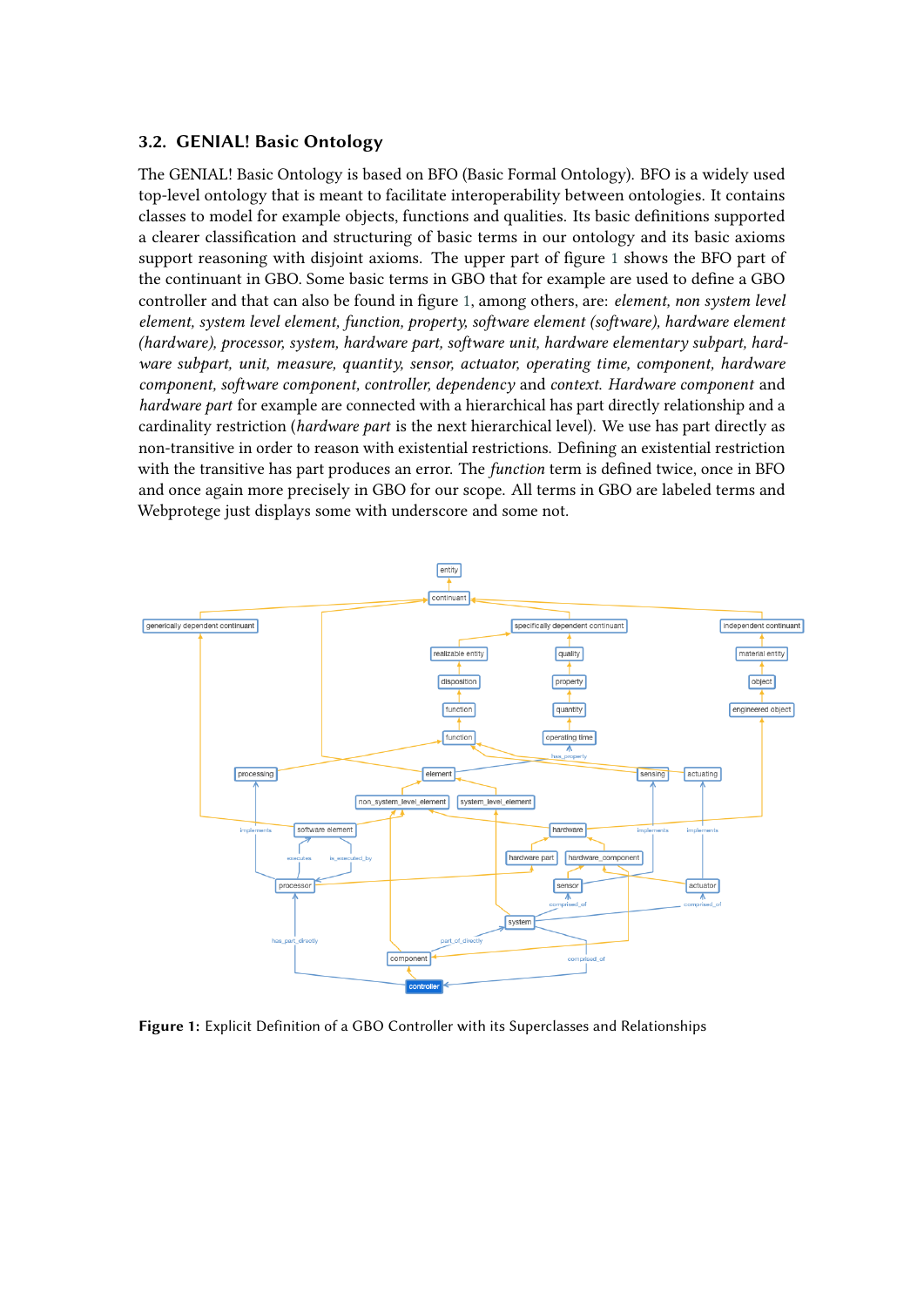### **3.2. GENIAL! Basic Ontology**

The GENIAL! Basic Ontology is based on BFO (Basic Formal Ontology). BFO is a widely used top-level ontology that is meant to facilitate interoperability between ontologies. It contains classes to model for example objects, functions and qualities. Its basic definitions supported a clearer classification and structuring of basic terms in our ontology and its basic axioms support reasoning with disjoint axioms. The upper part of figure [1](#page-4-0) shows the BFO part of the continuant in GBO. Some basic terms in GBO that for example are used to define a GBO controller and that can also be found in figure [1,](#page-4-0) among others, are: *element, non system level element, system level element, function, property, software element (software), hardware element (hardware), processor, system, hardware part, software unit, hardware elementary subpart, hardware subpart, unit, measure, quantity, sensor, actuator, operating time, component, hardware component, software component, controller, dependency* and *context*. *Hardware component* and *hardware part* for example are connected with a hierarchical has part directly relationship and a cardinality restriction (*hardware part* is the next hierarchical level). We use has part directly as non-transitive in order to reason with existential restrictions. Defining an existential restriction with the transitive has part produces an error. The *function* term is defined twice, once in BFO and once again more precisely in GBO for our scope. All terms in GBO are labeled terms and Webprotege just displays some with underscore and some not.

<span id="page-4-0"></span>

**Figure 1:** Explicit Definition of a GBO Controller with its Superclasses and Relationships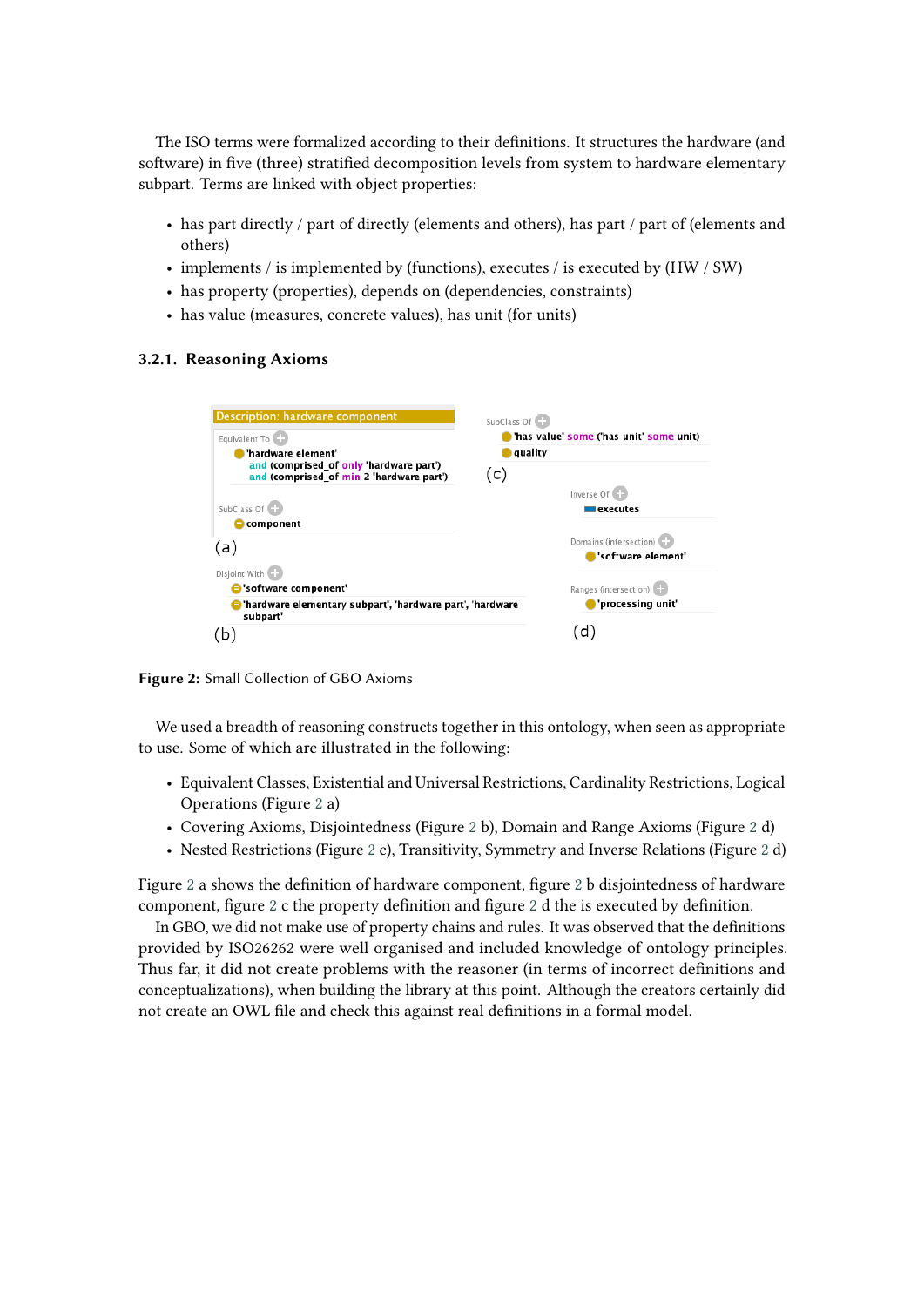The ISO terms were formalized according to their definitions. It structures the hardware (and software) in five (three) stratified decomposition levels from system to hardware elementary subpart. Terms are linked with object properties:

- has part directly / part of directly (elements and others), has part / part of (elements and others)
- implements / is implemented by (functions), executes / is executed by (HW / SW)
- has property (properties), depends on (dependencies, constraints)
- has value (measures, concrete values), has unit (for units)

### <span id="page-5-0"></span>**3.2.1. Reasoning Axioms**



**Figure 2:** Small Collection of GBO Axioms

We used a breadth of reasoning constructs together in this ontology, when seen as appropriate to use. Some of which are illustrated in the following:

- Equivalent Classes, Existential and Universal Restrictions, Cardinality Restrictions, Logical Operations (Figure [2](#page-5-0) a)
- Covering Axioms, Disjointedness (Figure [2](#page-5-0) b), Domain and Range Axioms (Figure [2](#page-5-0) d)
- Nested Restrictions (Figure [2](#page-5-0) c), Transitivity, Symmetry and Inverse Relations (Figure [2](#page-5-0) d)

Figure [2](#page-5-0) a shows the definition of hardware component, figure [2](#page-5-0) b disjointedness of hardware component, figure [2](#page-5-0) c the property definition and figure [2](#page-5-0) d the is executed by definition.

In GBO, we did not make use of property chains and rules. It was observed that the definitions provided by ISO26262 were well organised and included knowledge of ontology principles. Thus far, it did not create problems with the reasoner (in terms of incorrect definitions and conceptualizations), when building the library at this point. Although the creators certainly did not create an OWL file and check this against real definitions in a formal model.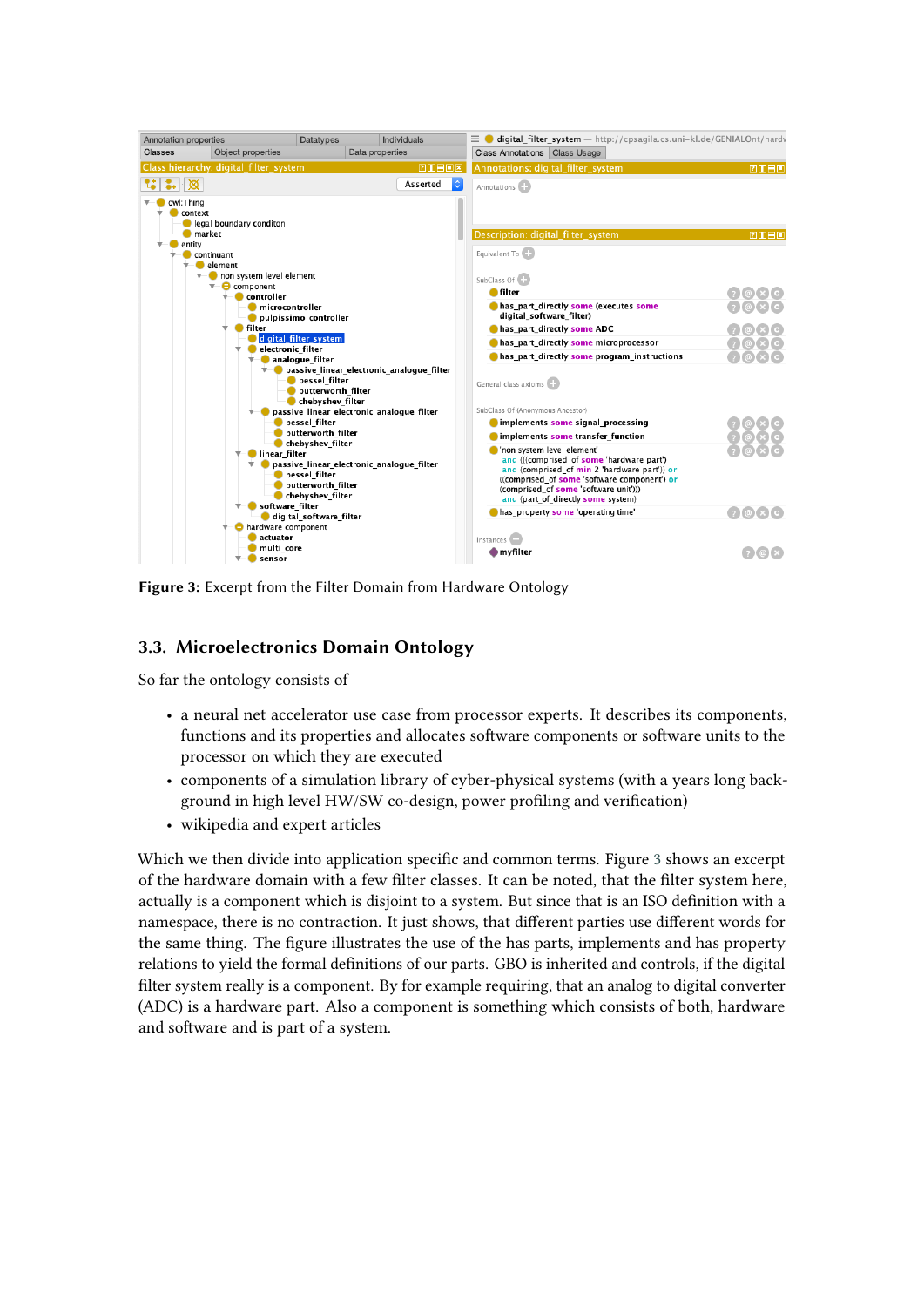<span id="page-6-0"></span>

**Figure 3:** Excerpt from the Filter Domain from Hardware Ontology

## **3.3. Microelectronics Domain Ontology**

So far the ontology consists of

- a neural net accelerator use case from processor experts. It describes its components, functions and its properties and allocates software components or software units to the processor on which they are executed
- components of a simulation library of cyber-physical systems (with a years long background in high level HW/SW co-design, power profiling and verification)
- wikipedia and expert articles

Which we then divide into application specific and common terms. Figure [3](#page-6-0) shows an excerpt of the hardware domain with a few filter classes. It can be noted, that the filter system here, actually is a component which is disjoint to a system. But since that is an ISO definition with a namespace, there is no contraction. It just shows, that different parties use different words for the same thing. The figure illustrates the use of the has parts, implements and has property relations to yield the formal definitions of our parts. GBO is inherited and controls, if the digital filter system really is a component. By for example requiring, that an analog to digital converter (ADC) is a hardware part. Also a component is something which consists of both, hardware and software and is part of a system.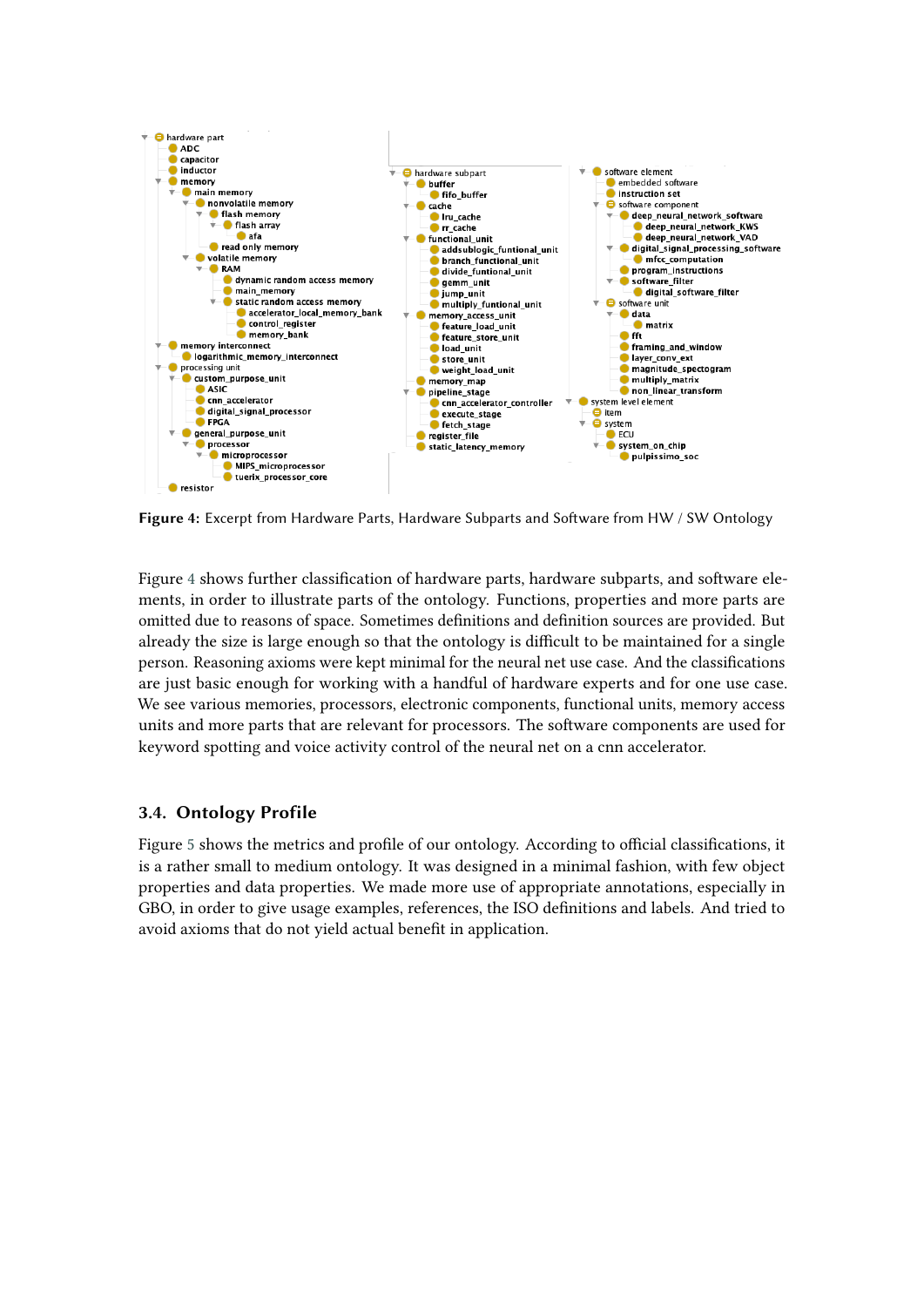<span id="page-7-0"></span>

**Figure 4:** Excerpt from Hardware Parts, Hardware Subparts and Software from HW / SW Ontology

Figure [4](#page-7-0) shows further classification of hardware parts, hardware subparts, and software elements, in order to illustrate parts of the ontology. Functions, properties and more parts are omitted due to reasons of space. Sometimes definitions and definition sources are provided. But already the size is large enough so that the ontology is difficult to be maintained for a single person. Reasoning axioms were kept minimal for the neural net use case. And the classifications are just basic enough for working with a handful of hardware experts and for one use case. We see various memories, processors, electronic components, functional units, memory access units and more parts that are relevant for processors. The software components are used for keyword spotting and voice activity control of the neural net on a cnn accelerator.

## **3.4. Ontology Profile**

Figure [5](#page-8-1) shows the metrics and profile of our ontology. According to official classifications, it is a rather small to medium ontology. It was designed in a minimal fashion, with few object properties and data properties. We made more use of appropriate annotations, especially in GBO, in order to give usage examples, references, the ISO definitions and labels. And tried to avoid axioms that do not yield actual benefit in application.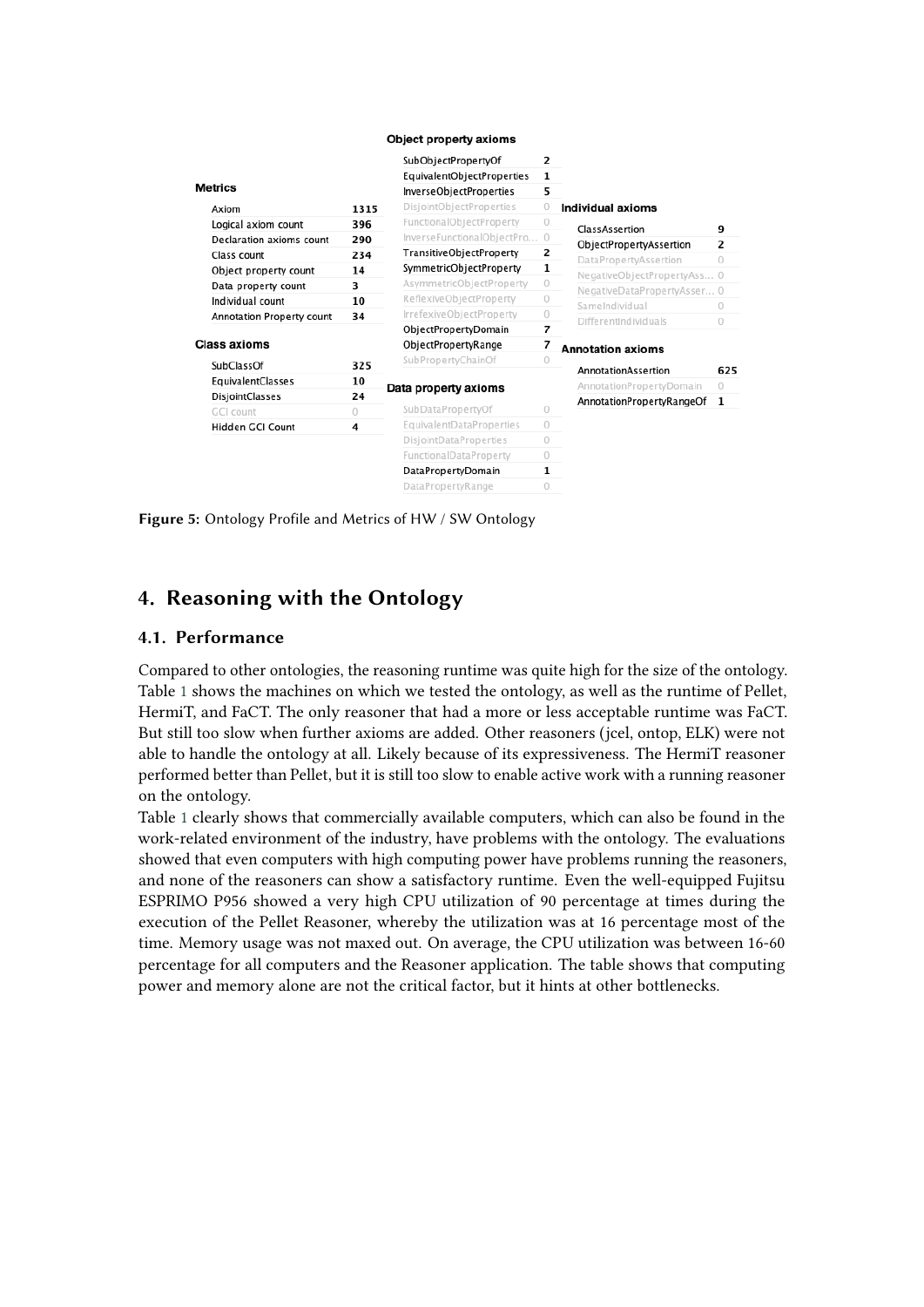#### Object property axioms

<span id="page-8-1"></span>

|                           |         | SubObjectPropertyOf          | $\overline{2}$           |                             |     |
|---------------------------|---------|------------------------------|--------------------------|-----------------------------|-----|
|                           |         | EquivalentObjectProperties   | 1                        |                             |     |
| <b>Metrics</b>            |         | InverseObjectProperties      |                          |                             |     |
| Axiom                     | 1315    | DisjointObjectProperties     | $\circ$                  | Individual axioms           |     |
| Logical axiom count       | 396     | FunctionalObjectProperty     | $\sqrt{2}$               | ClassAssertion              | 9   |
| Declaration axioms count  | 290     | InverseFunctionalObjectPro 0 |                          | ObjectPropertyAssertion     | 2   |
| Class count               | 234     | TransitiveObjectProperty     | 2                        | DataPropertyAssertion       | 0   |
| Object property count     | 14      | SymmetricObjectProperty      | 1                        |                             |     |
| Data property count       | 3       | AsymmetricObjectProperty     | $\circ$                  | NegativeObjectPropertyAss 0 |     |
| Individual count          | 10      | ReflexiveObjectProperty      | $\theta$                 | NegativeDataPropertyAsser 0 |     |
| Annotation Property count | 34      | IrrefexiveObjectProperty     | $\circ$                  | SameIndividual              | 0   |
|                           |         | ObjectPropertyDomain         | $\overline{\phantom{a}}$ | <b>DifferentIndividuals</b> | 0   |
| <b>Class axioms</b>       |         | ObjectPropertyRange          | 7                        | <b>Annotation axioms</b>    |     |
| SubClassOf                | 325     | SubPropertyChainOf           | $\circ$                  |                             |     |
| EquivalentClasses         | 10      |                              |                          | AnnotationAssertion         | 625 |
| DisjointClasses           | 24      | Data property axioms         |                          | AnnotationPropertyDomain    | 0   |
| GCI count                 | $\circ$ | SubDataPropertyOf            | 0                        | AnnotationPropertyRangeOf   | 1   |
| Hidden GCI Count          | 4       | EquivalentDataProperties     | $\circ$                  |                             |     |
|                           |         | DisjointDataProperties       | $\circ$                  |                             |     |
|                           |         | FunctionalDataProperty       | $\circ$                  |                             |     |
|                           |         | DataPropertyDomain           | 1                        |                             |     |
|                           |         | DataPropertyRange            | 0                        |                             |     |

**Figure 5:** Ontology Profile and Metrics of HW / SW Ontology

## <span id="page-8-0"></span>**4. Reasoning with the Ontology**

### **4.1. Performance**

Compared to other ontologies, the reasoning runtime was quite high for the size of the ontology. Table [1](#page-9-0) shows the machines on which we tested the ontology, as well as the runtime of Pellet, HermiT, and FaCT. The only reasoner that had a more or less acceptable runtime was FaCT. But still too slow when further axioms are added. Other reasoners (jcel, ontop, ELK) were not able to handle the ontology at all. Likely because of its expressiveness. The HermiT reasoner performed better than Pellet, but it is still too slow to enable active work with a running reasoner on the ontology.

Table [1](#page-9-0) clearly shows that commercially available computers, which can also be found in the work-related environment of the industry, have problems with the ontology. The evaluations showed that even computers with high computing power have problems running the reasoners, and none of the reasoners can show a satisfactory runtime. Even the well-equipped Fujitsu ESPRIMO P956 showed a very high CPU utilization of 90 percentage at times during the execution of the Pellet Reasoner, whereby the utilization was at 16 percentage most of the time. Memory usage was not maxed out. On average, the CPU utilization was between 16-60 percentage for all computers and the Reasoner application. The table shows that computing power and memory alone are not the critical factor, but it hints at other bottlenecks.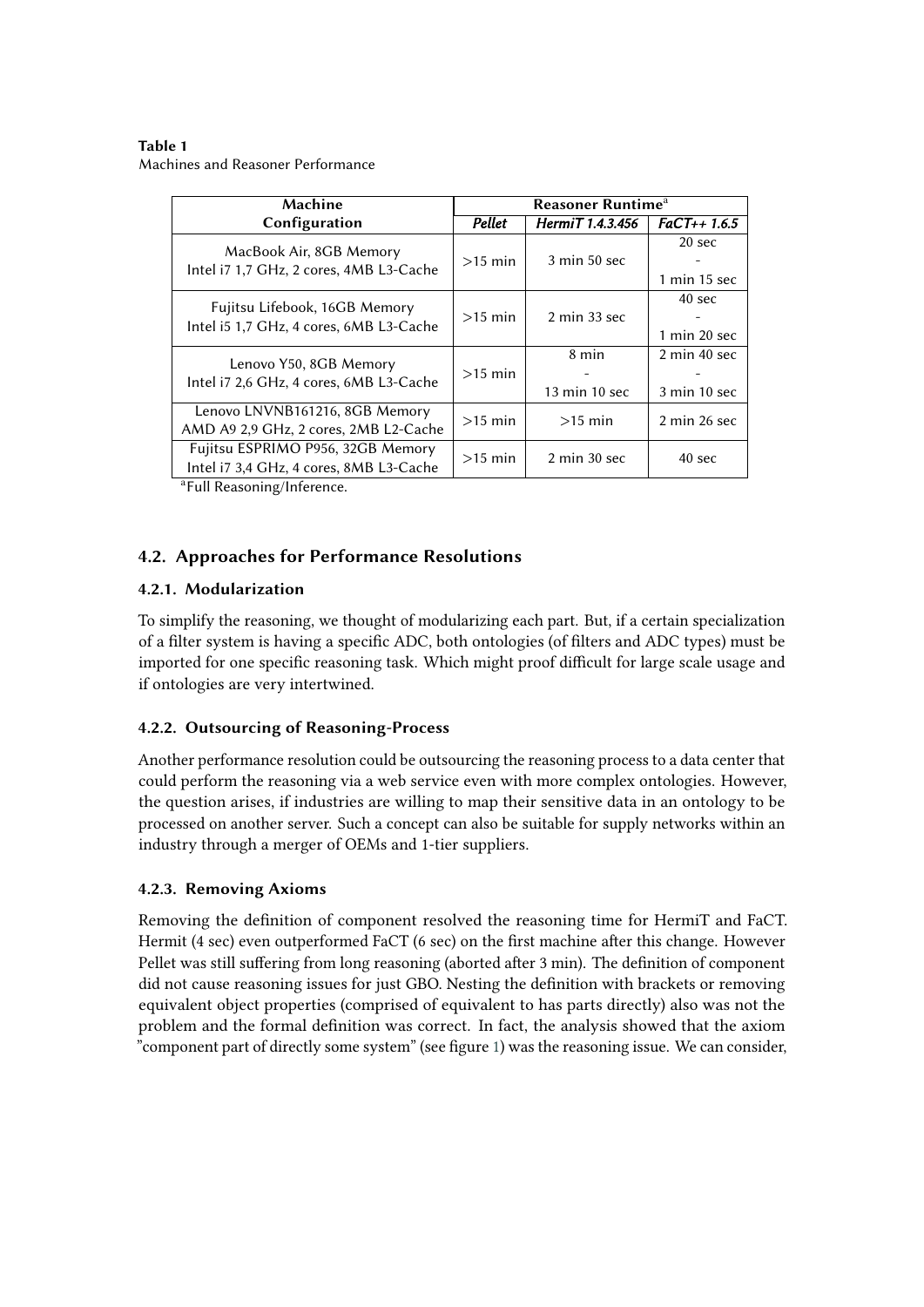<span id="page-9-0"></span>**Table 1** Machines and Reasoner Performance

| <b>Reasoner Runtime</b> <sup>a</sup> |                                          |                                                     |  |
|--------------------------------------|------------------------------------------|-----------------------------------------------------|--|
| Pellet                               | HermiT 1.4.3.456                         | $FaCT++1.6.5$                                       |  |
| $>15$ min                            | $3 \text{ min } 50 \text{ sec}$          | 20 <sub>sec</sub><br>$1$ min $15$ sec               |  |
| $>15$ min                            | $2 \text{ min } 33 \text{ sec}$          | $40 \text{ sec}$<br>$1 \text{ min } 20 \text{ sec}$ |  |
| $>15$ min                            | 8 min<br>$13 \text{ min} 10 \text{ sec}$ | $2 \text{ min } 40 \text{ sec}$<br>3 min 10 sec     |  |
| $>15$ min                            | $>15$ min                                | $2 \text{ min } 26 \text{ sec}$                     |  |
| $>15$ min                            | $2 \text{ min } 30 \text{ sec}$          | 40 sec                                              |  |
|                                      |                                          |                                                     |  |

<sup>1</sup>Full Reasoning/Inference.

## **4.2. Approaches for Performance Resolutions**

### **4.2.1. Modularization**

To simplify the reasoning, we thought of modularizing each part. But, if a certain specialization of a filter system is having a specific ADC, both ontologies (of filters and ADC types) must be imported for one specific reasoning task. Which might proof difficult for large scale usage and if ontologies are very intertwined.

### **4.2.2. Outsourcing of Reasoning-Process**

Another performance resolution could be outsourcing the reasoning process to a data center that could perform the reasoning via a web service even with more complex ontologies. However, the question arises, if industries are willing to map their sensitive data in an ontology to be processed on another server. Such a concept can also be suitable for supply networks within an industry through a merger of OEMs and 1-tier suppliers.

### **4.2.3. Removing Axioms**

Removing the definition of component resolved the reasoning time for HermiT and FaCT. Hermit (4 sec) even outperformed FaCT (6 sec) on the first machine after this change. However Pellet was still suffering from long reasoning (aborted after 3 min). The definition of component did not cause reasoning issues for just GBO. Nesting the definition with brackets or removing equivalent object properties (comprised of equivalent to has parts directly) also was not the problem and the formal definition was correct. In fact, the analysis showed that the axiom "component part of directly some system" (see figure [1\)](#page-4-0) was the reasoning issue. We can consider,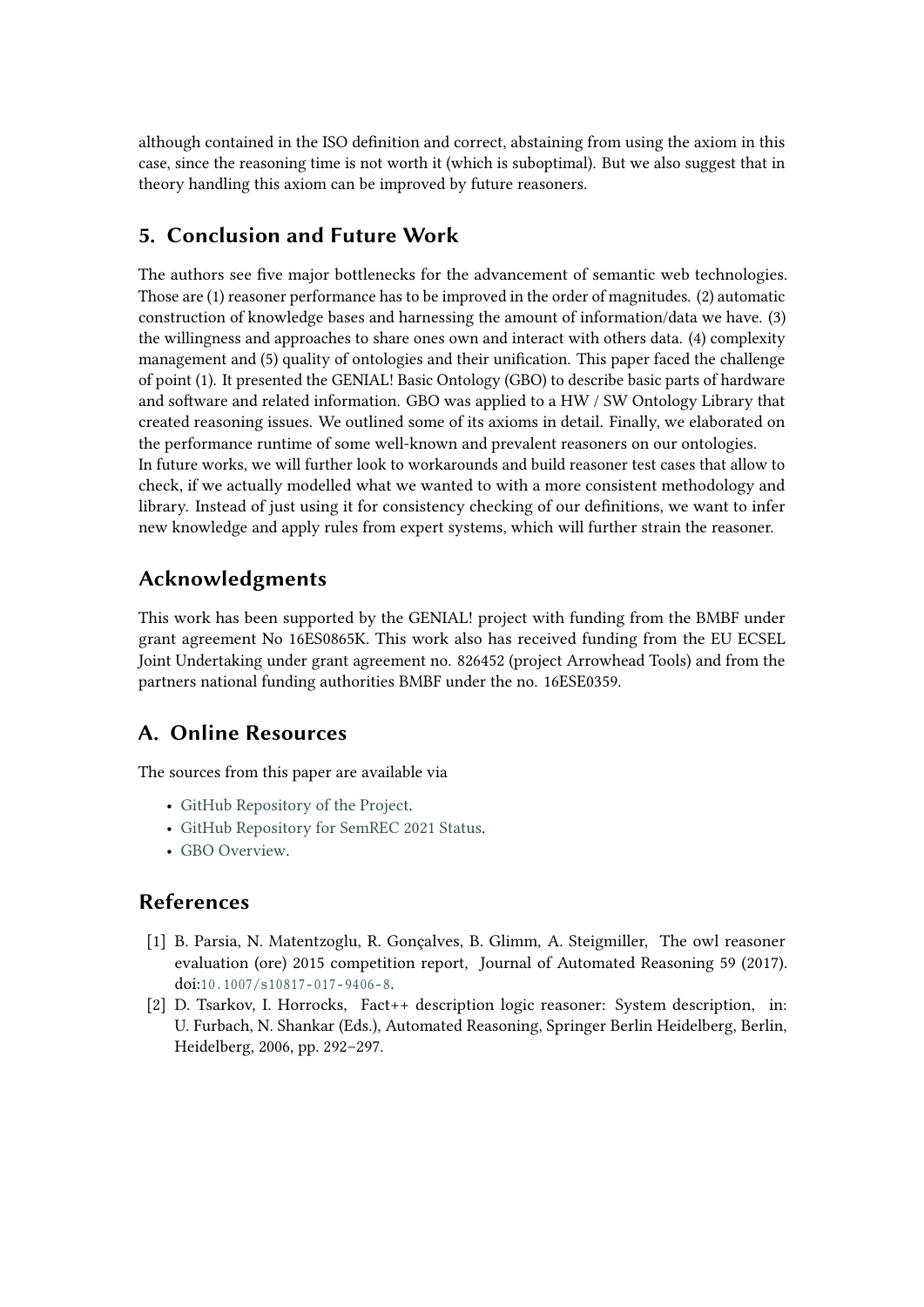although contained in the ISO definition and correct, abstaining from using the axiom in this case, since the reasoning time is not worth it (which is suboptimal). But we also suggest that in theory handling this axiom can be improved by future reasoners.

## <span id="page-10-1"></span>**5. Conclusion and Future Work**

The authors see five major bottlenecks for the advancement of semantic web technologies. Those are (1) reasoner performance has to be improved in the order of magnitudes. (2) automatic construction of knowledge bases and harnessing the amount of information/data we have. (3) the willingness and approaches to share ones own and interact with others data. (4) complexity management and (5) quality of ontologies and their unification. This paper faced the challenge of point (1). It presented the GENIAL! Basic Ontology (GBO) to describe basic parts of hardware and software and related information. GBO was applied to a HW / SW Ontology Library that created reasoning issues. We outlined some of its axioms in detail. Finally, we elaborated on the performance runtime of some well-known and prevalent reasoners on our ontologies. In future works, we will further look to workarounds and build reasoner test cases that allow to check, if we actually modelled what we wanted to with a more consistent methodology and library. Instead of just using it for consistency checking of our definitions, we want to infer new knowledge and apply rules from expert systems, which will further strain the reasoner.

## **Acknowledgments**

This work has been supported by the GENIAL! project with funding from the BMBF under grant agreement No 16ES0865K. This work also has received funding from the EU ECSEL Joint Undertaking under grant agreement no. 826452 (project Arrowhead Tools) and from the partners national funding authorities BMBF under the no. 16ESE0359.

## **A. Online Resources**

The sources from this paper are available via

- [GitHub Repository of the Project.](https://github.com/wawrzik/GENIALOntologies)
- [GitHub Repository for SemREC 2021 Status.](https://github.com/wawrzik/GENIALOntologies/tree/master/OntologyModuleSuite/Tests/SemREC%202021)
- [GBO Overview.](http://w3id.org/gbo)

## **References**

- <span id="page-10-0"></span>[1] B. Parsia, N. Matentzoglu, R. Gonçalves, B. Glimm, A. Steigmiller, The owl reasoner evaluation (ore) 2015 competition report, Journal of Automated Reasoning 59 (2017). doi:10.1007/s10817-017-9406-8.
- <span id="page-10-2"></span>[2] D. Tsarkov, I. Horrocks, Fact++ description logic reasoner: System description, in: U. Furbach, N. Shankar (Eds.), Automated Reasoning, Springer Berlin Heidelberg, Berlin, Heidelberg, 2006, pp. 292–297.